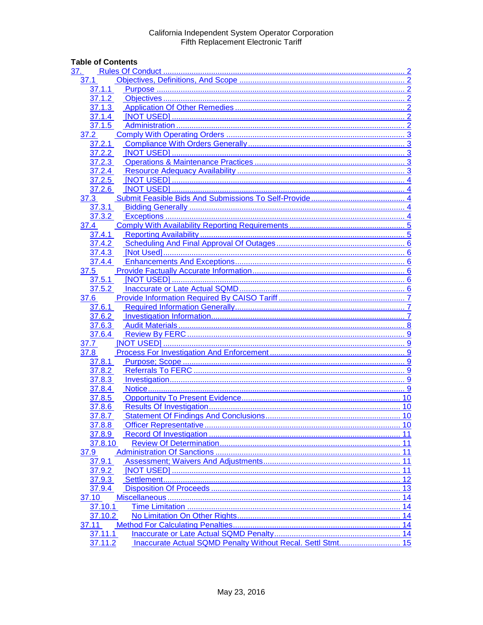## **Table of Contents**

| 37.                                                                    |    |
|------------------------------------------------------------------------|----|
| 37.1                                                                   |    |
| 37.1.1                                                                 |    |
| 37.1.2                                                                 |    |
| 37.1.3                                                                 |    |
| 37.1.4                                                                 | 2  |
| 37.1.5<br>. 2                                                          |    |
| 37.2                                                                   |    |
| 37.2.1                                                                 |    |
| 3<br>37.2.2                                                            |    |
| 37.2.3                                                                 |    |
| 3<br>37.2.4                                                            |    |
| . 4<br>37.2.5                                                          |    |
| 37.2.6                                                                 |    |
| 37.3                                                                   |    |
| 37.3.1                                                                 |    |
|                                                                        |    |
| 37.3.2                                                                 |    |
| 37.4                                                                   |    |
|                                                                        |    |
|                                                                        |    |
| 37.4.3                                                                 |    |
| 37.4.4                                                                 |    |
| 37.5                                                                   |    |
| 37.5.1                                                                 |    |
| 37.5.2                                                                 |    |
| 37.6                                                                   |    |
| 37.6.1                                                                 |    |
| 37.6.2                                                                 |    |
| 37.6.3                                                                 |    |
| 37.6.4                                                                 |    |
| 37.7<br>. 9                                                            |    |
| 37.8                                                                   |    |
| 37.8.1                                                                 |    |
| 37.8.2                                                                 |    |
| 37.8.3                                                                 |    |
| 37.8.4                                                                 |    |
| 37.8.5                                                                 |    |
| 37.8.6                                                                 |    |
| 37.8.7                                                                 |    |
| 37.8.8                                                                 | 10 |
| 37.8.9                                                                 |    |
| 37.8.10                                                                |    |
| 37.9                                                                   | 11 |
| 37.9.1                                                                 | 11 |
| 37.9.2                                                                 | 11 |
| 37.9.3                                                                 | 12 |
| 37.9.4                                                                 |    |
| 37.10                                                                  | 14 |
| 37.10.1                                                                | 14 |
| 37.10.2                                                                |    |
| 37.11                                                                  |    |
|                                                                        |    |
| 37.11.1                                                                |    |
| Inaccurate Actual SQMD Penalty Without Recal. Settl Stmt 15<br>37.11.2 |    |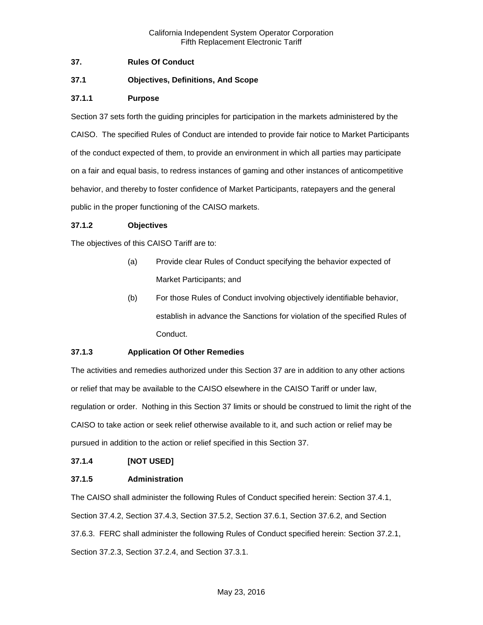## <span id="page-1-0"></span>**37. Rules Of Conduct**

## <span id="page-1-1"></span>**37.1 Objectives, Definitions, And Scope**

## <span id="page-1-2"></span>**37.1.1 Purpose**

Section 37 sets forth the guiding principles for participation in the markets administered by the CAISO. The specified Rules of Conduct are intended to provide fair notice to Market Participants of the conduct expected of them, to provide an environment in which all parties may participate on a fair and equal basis, to redress instances of gaming and other instances of anticompetitive behavior, and thereby to foster confidence of Market Participants, ratepayers and the general public in the proper functioning of the CAISO markets.

#### <span id="page-1-3"></span>**37.1.2 Objectives**

The objectives of this CAISO Tariff are to:

- (a) Provide clear Rules of Conduct specifying the behavior expected of Market Participants; and
- (b) For those Rules of Conduct involving objectively identifiable behavior, establish in advance the Sanctions for violation of the specified Rules of Conduct.

#### <span id="page-1-4"></span>**37.1.3 Application Of Other Remedies**

The activities and remedies authorized under this Section 37 are in addition to any other actions or relief that may be available to the CAISO elsewhere in the CAISO Tariff or under law, regulation or order. Nothing in this Section 37 limits or should be construed to limit the right of the CAISO to take action or seek relief otherwise available to it, and such action or relief may be pursued in addition to the action or relief specified in this Section 37.

#### <span id="page-1-5"></span>**37.1.4 [NOT USED]**

#### <span id="page-1-6"></span>**37.1.5 Administration**

The CAISO shall administer the following Rules of Conduct specified herein: Section 37.4.1, Section 37.4.2, Section 37.4.3, Section 37.5.2, Section 37.6.1, Section 37.6.2, and Section 37.6.3. FERC shall administer the following Rules of Conduct specified herein: Section 37.2.1, Section 37.2.3, Section 37.2.4, and Section 37.3.1.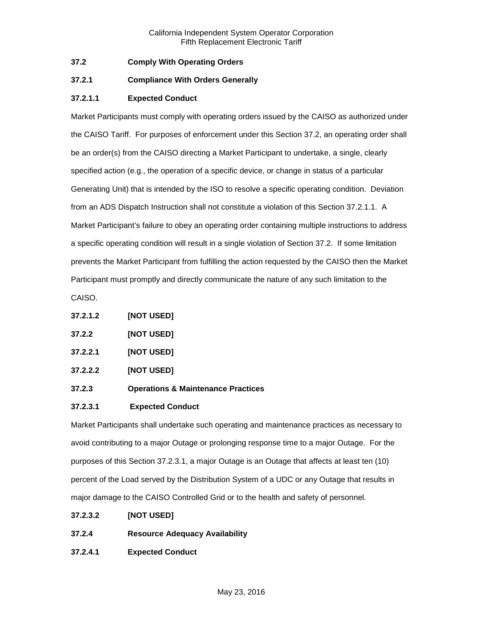## <span id="page-2-0"></span>**37.2 Comply With Operating Orders**

## <span id="page-2-1"></span>**37.2.1 Compliance With Orders Generally**

## **37.2.1.1 Expected Conduct**

Market Participants must comply with operating orders issued by the CAISO as authorized under the CAISO Tariff. For purposes of enforcement under this Section 37.2, an operating order shall be an order(s) from the CAISO directing a Market Participant to undertake, a single, clearly specified action (e.g., the operation of a specific device, or change in status of a particular Generating Unit) that is intended by the ISO to resolve a specific operating condition. Deviation from an ADS Dispatch Instruction shall not constitute a violation of this Section 37.2.1.1. A Market Participant's failure to obey an operating order containing multiple instructions to address a specific operating condition will result in a single violation of Section 37.2. If some limitation prevents the Market Participant from fulfilling the action requested by the CAISO then the Market Participant must promptly and directly communicate the nature of any such limitation to the

CAISO.

| 37.2.1.2 | [NOT USED] |
|----------|------------|
|----------|------------|

- <span id="page-2-2"></span>**37.2.2 [NOT USED]**
- **37.2.2.1 [NOT USED]**
- **37.2.2.2 [NOT USED]**
- <span id="page-2-3"></span>**37.2.3 Operations & Maintenance Practices**

#### **37.2.3.1 Expected Conduct**

Market Participants shall undertake such operating and maintenance practices as necessary to avoid contributing to a major Outage or prolonging response time to a major Outage. For the purposes of this Section 37.2.3.1, a major Outage is an Outage that affects at least ten (10) percent of the Load served by the Distribution System of a UDC or any Outage that results in major damage to the CAISO Controlled Grid or to the health and safety of personnel.

- **37.2.3.2 [NOT USED]**
- <span id="page-2-4"></span>**37.2.4 Resource Adequacy Availability**
- **37.2.4.1 Expected Conduct**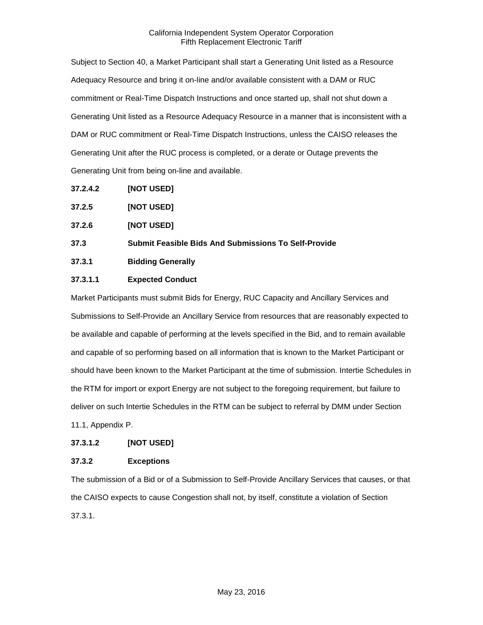Subject to Section 40, a Market Participant shall start a Generating Unit listed as a Resource Adequacy Resource and bring it on-line and/or available consistent with a DAM or RUC commitment or Real-Time Dispatch Instructions and once started up, shall not shut down a Generating Unit listed as a Resource Adequacy Resource in a manner that is inconsistent with a DAM or RUC commitment or Real-Time Dispatch Instructions, unless the CAISO releases the Generating Unit after the RUC process is completed, or a derate or Outage prevents the Generating Unit from being on-line and available.

**37.2.4.2 [NOT USED]**

<span id="page-3-0"></span>

| 37.2.5 | [NOT USED] |
|--------|------------|
|--------|------------|

<span id="page-3-1"></span>**37.2.6 [NOT USED]**

<span id="page-3-2"></span>**37.3 Submit Feasible Bids And Submissions To Self-Provide**

<span id="page-3-3"></span>**37.3.1 Bidding Generally**

## **37.3.1.1 Expected Conduct**

Market Participants must submit Bids for Energy, RUC Capacity and Ancillary Services and Submissions to Self-Provide an Ancillary Service from resources that are reasonably expected to be available and capable of performing at the levels specified in the Bid, and to remain available and capable of so performing based on all information that is known to the Market Participant or should have been known to the Market Participant at the time of submission. Intertie Schedules in the RTM for import or export Energy are not subject to the foregoing requirement, but failure to deliver on such Intertie Schedules in the RTM can be subject to referral by DMM under Section 11.1, Appendix P.

#### **37.3.1.2 [NOT USED]**

## <span id="page-3-4"></span>**37.3.2 Exceptions**

The submission of a Bid or of a Submission to Self-Provide Ancillary Services that causes, or that the CAISO expects to cause Congestion shall not, by itself, constitute a violation of Section 37.3.1.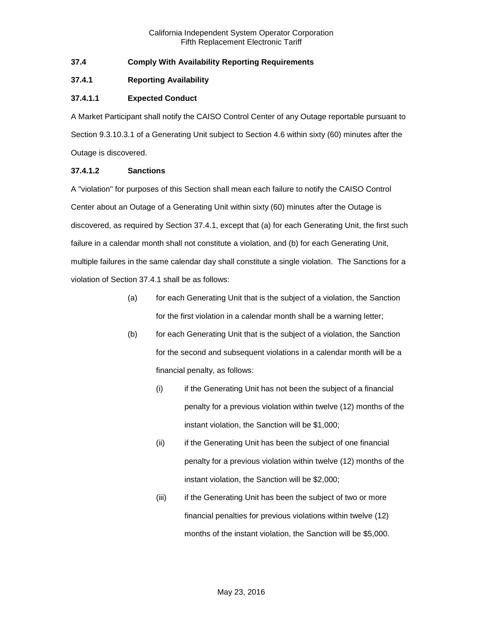## <span id="page-4-0"></span>**37.4 Comply With Availability Reporting Requirements**

## <span id="page-4-1"></span>**37.4.1 Reporting Availability**

## **37.4.1.1 Expected Conduct**

A Market Participant shall notify the CAISO Control Center of any Outage reportable pursuant to Section 9.3.10.3.1 of a Generating Unit subject to Section 4.6 within sixty (60) minutes after the Outage is discovered.

#### **37.4.1.2 Sanctions**

A "violation" for purposes of this Section shall mean each failure to notify the CAISO Control Center about an Outage of a Generating Unit within sixty (60) minutes after the Outage is discovered, as required by Section 37.4.1, except that (a) for each Generating Unit, the first such failure in a calendar month shall not constitute a violation, and (b) for each Generating Unit, multiple failures in the same calendar day shall constitute a single violation. The Sanctions for a violation of Section 37.4.1 shall be as follows:

- (a) for each Generating Unit that is the subject of a violation, the Sanction for the first violation in a calendar month shall be a warning letter;
- (b) for each Generating Unit that is the subject of a violation, the Sanction for the second and subsequent violations in a calendar month will be a financial penalty, as follows:
	- (i) if the Generating Unit has not been the subject of a financial penalty for a previous violation within twelve (12) months of the instant violation, the Sanction will be \$1,000;
	- (ii) if the Generating Unit has been the subject of one financial penalty for a previous violation within twelve (12) months of the instant violation, the Sanction will be \$2,000;
	- (iii) if the Generating Unit has been the subject of two or more financial penalties for previous violations within twelve (12) months of the instant violation, the Sanction will be \$5,000.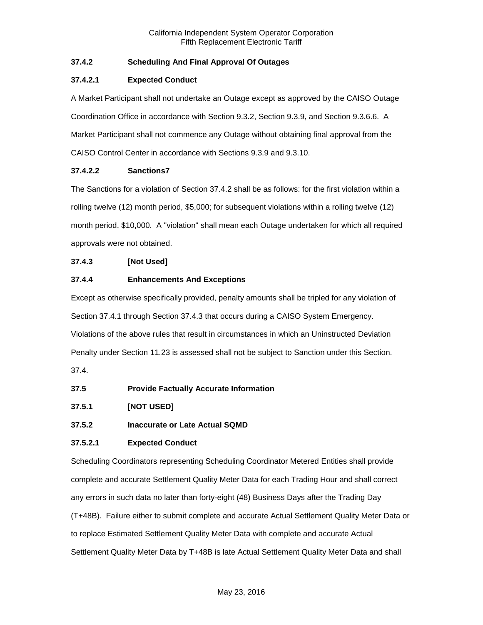## <span id="page-5-0"></span>**37.4.2 Scheduling And Final Approval Of Outages**

## **37.4.2.1 Expected Conduct**

A Market Participant shall not undertake an Outage except as approved by the CAISO Outage Coordination Office in accordance with Section 9.3.2, Section 9.3.9, and Section 9.3.6.6. A Market Participant shall not commence any Outage without obtaining final approval from the CAISO Control Center in accordance with Sections 9.3.9 and 9.3.10.

## **37.4.2.2 Sanctions7**

The Sanctions for a violation of Section 37.4.2 shall be as follows: for the first violation within a rolling twelve (12) month period, \$5,000; for subsequent violations within a rolling twelve (12) month period, \$10,000. A "violation" shall mean each Outage undertaken for which all required approvals were not obtained.

## <span id="page-5-1"></span>**37.4.3 [Not Used]**

## <span id="page-5-2"></span>**37.4.4 Enhancements And Exceptions**

Except as otherwise specifically provided, penalty amounts shall be tripled for any violation of Section 37.4.1 through Section 37.4.3 that occurs during a CAISO System Emergency. Violations of the above rules that result in circumstances in which an Uninstructed Deviation Penalty under Section 11.23 is assessed shall not be subject to Sanction under this Section.

37.4.

- <span id="page-5-3"></span>**37.5 Provide Factually Accurate Information**
- <span id="page-5-4"></span>**37.5.1 [NOT USED]**
- <span id="page-5-5"></span>**37.5.2 Inaccurate or Late Actual SQMD**

## **37.5.2.1 Expected Conduct**

Scheduling Coordinators representing Scheduling Coordinator Metered Entities shall provide complete and accurate Settlement Quality Meter Data for each Trading Hour and shall correct any errors in such data no later than forty-eight (48) Business Days after the Trading Day (T+48B). Failure either to submit complete and accurate Actual Settlement Quality Meter Data or to replace Estimated Settlement Quality Meter Data with complete and accurate Actual Settlement Quality Meter Data by T+48B is late Actual Settlement Quality Meter Data and shall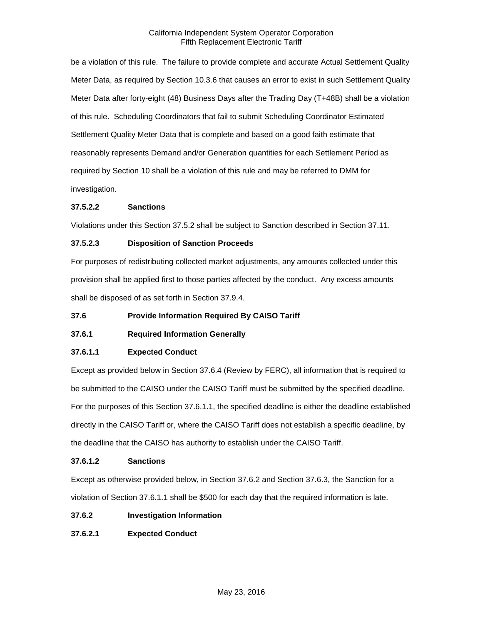be a violation of this rule. The failure to provide complete and accurate Actual Settlement Quality Meter Data, as required by Section 10.3.6 that causes an error to exist in such Settlement Quality Meter Data after forty-eight (48) Business Days after the Trading Day (T+48B) shall be a violation of this rule. Scheduling Coordinators that fail to submit Scheduling Coordinator Estimated Settlement Quality Meter Data that is complete and based on a good faith estimate that reasonably represents Demand and/or Generation quantities for each Settlement Period as required by Section 10 shall be a violation of this rule and may be referred to DMM for investigation.

#### **37.5.2.2 Sanctions**

Violations under this Section 37.5.2 shall be subject to Sanction described in Section 37.11.

## **37.5.2.3 Disposition of Sanction Proceeds**

For purposes of redistributing collected market adjustments, any amounts collected under this provision shall be applied first to those parties affected by the conduct. Any excess amounts shall be disposed of as set forth in Section 37.9.4.

#### <span id="page-6-0"></span>**37.6 Provide Information Required By CAISO Tariff**

## <span id="page-6-1"></span>**37.6.1 Required Information Generally**

#### **37.6.1.1 Expected Conduct**

Except as provided below in Section 37.6.4 (Review by FERC), all information that is required to be submitted to the CAISO under the CAISO Tariff must be submitted by the specified deadline. For the purposes of this Section 37.6.1.1, the specified deadline is either the deadline established directly in the CAISO Tariff or, where the CAISO Tariff does not establish a specific deadline, by the deadline that the CAISO has authority to establish under the CAISO Tariff.

#### **37.6.1.2 Sanctions**

Except as otherwise provided below, in Section 37.6.2 and Section 37.6.3, the Sanction for a violation of Section 37.6.1.1 shall be \$500 for each day that the required information is late.

#### <span id="page-6-2"></span>**37.6.2 Investigation Information**

## **37.6.2.1 Expected Conduct**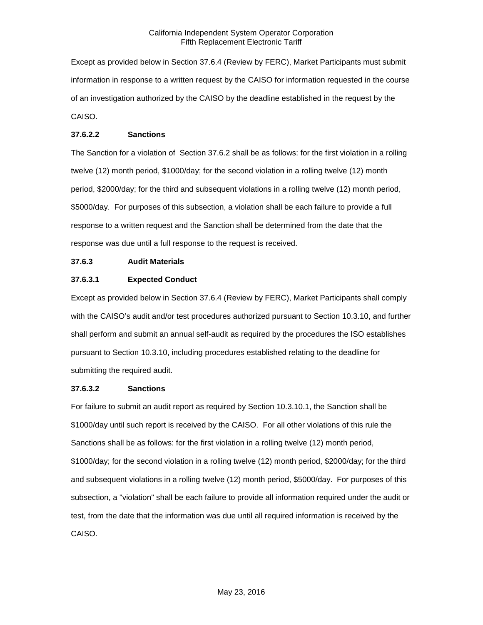Except as provided below in Section 37.6.4 (Review by FERC), Market Participants must submit information in response to a written request by the CAISO for information requested in the course of an investigation authorized by the CAISO by the deadline established in the request by the CAISO.

## **37.6.2.2 Sanctions**

The Sanction for a violation of Section 37.6.2 shall be as follows: for the first violation in a rolling twelve (12) month period, \$1000/day; for the second violation in a rolling twelve (12) month period, \$2000/day; for the third and subsequent violations in a rolling twelve (12) month period, \$5000/day. For purposes of this subsection, a violation shall be each failure to provide a full response to a written request and the Sanction shall be determined from the date that the response was due until a full response to the request is received.

## <span id="page-7-0"></span>**37.6.3 Audit Materials**

## **37.6.3.1 Expected Conduct**

Except as provided below in Section 37.6.4 (Review by FERC), Market Participants shall comply with the CAISO's audit and/or test procedures authorized pursuant to Section 10.3.10, and further shall perform and submit an annual self-audit as required by the procedures the ISO establishes pursuant to Section 10.3.10, including procedures established relating to the deadline for submitting the required audit.

#### **37.6.3.2 Sanctions**

For failure to submit an audit report as required by Section 10.3.10.1, the Sanction shall be \$1000/day until such report is received by the CAISO. For all other violations of this rule the Sanctions shall be as follows: for the first violation in a rolling twelve (12) month period, \$1000/day; for the second violation in a rolling twelve (12) month period, \$2000/day; for the third and subsequent violations in a rolling twelve (12) month period, \$5000/day. For purposes of this subsection, a "violation" shall be each failure to provide all information required under the audit or test, from the date that the information was due until all required information is received by the CAISO.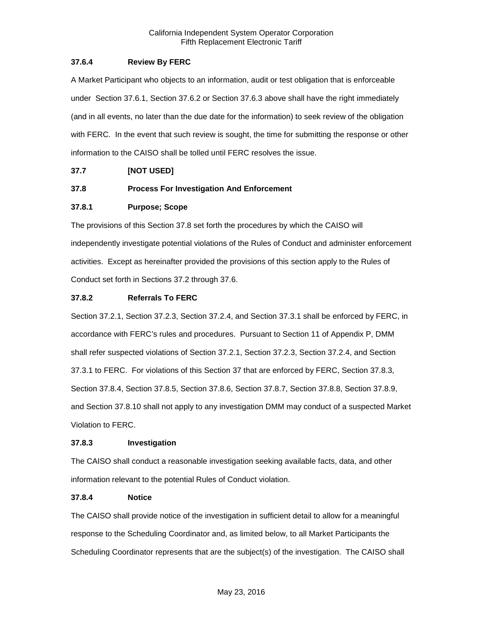## <span id="page-8-0"></span>**37.6.4 Review By FERC**

A Market Participant who objects to an information, audit or test obligation that is enforceable under Section 37.6.1, Section 37.6.2 or Section 37.6.3 above shall have the right immediately (and in all events, no later than the due date for the information) to seek review of the obligation with FERC. In the event that such review is sought, the time for submitting the response or other information to the CAISO shall be tolled until FERC resolves the issue.

## <span id="page-8-1"></span>**37.7 [NOT USED]**

## <span id="page-8-2"></span>**37.8 Process For Investigation And Enforcement**

## <span id="page-8-3"></span>**37.8.1 Purpose; Scope**

The provisions of this Section 37.8 set forth the procedures by which the CAISO will independently investigate potential violations of the Rules of Conduct and administer enforcement activities. Except as hereinafter provided the provisions of this section apply to the Rules of Conduct set forth in Sections 37.2 through 37.6.

## <span id="page-8-4"></span>**37.8.2 Referrals To FERC**

Section 37.2.1, Section 37.2.3, Section 37.2.4, and Section 37.3.1 shall be enforced by FERC, in accordance with FERC's rules and procedures. Pursuant to Section 11 of Appendix P, DMM shall refer suspected violations of Section 37.2.1, Section 37.2.3, Section 37.2.4, and Section 37.3.1 to FERC. For violations of this Section 37 that are enforced by FERC, Section 37.8.3, Section 37.8.4, Section 37.8.5, Section 37.8.6, Section 37.8.7, Section 37.8.8, Section 37.8.9, and Section 37.8.10 shall not apply to any investigation DMM may conduct of a suspected Market Violation to FERC.

#### <span id="page-8-5"></span>**37.8.3 Investigation**

The CAISO shall conduct a reasonable investigation seeking available facts, data, and other information relevant to the potential Rules of Conduct violation.

#### <span id="page-8-6"></span>**37.8.4 Notice**

The CAISO shall provide notice of the investigation in sufficient detail to allow for a meaningful response to the Scheduling Coordinator and, as limited below, to all Market Participants the Scheduling Coordinator represents that are the subject(s) of the investigation. The CAISO shall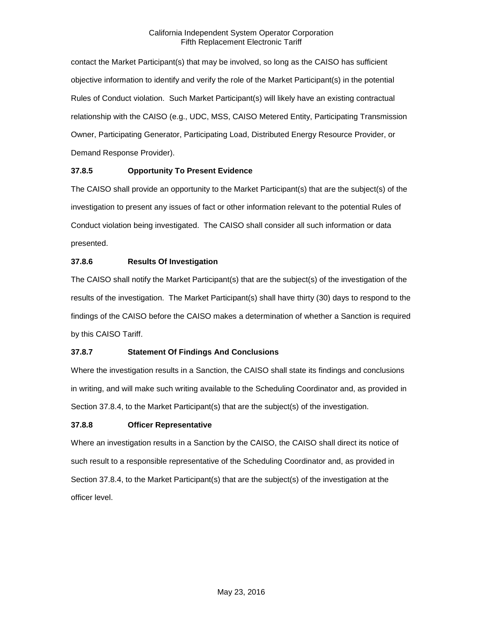contact the Market Participant(s) that may be involved, so long as the CAISO has sufficient objective information to identify and verify the role of the Market Participant(s) in the potential Rules of Conduct violation. Such Market Participant(s) will likely have an existing contractual relationship with the CAISO (e.g., UDC, MSS, CAISO Metered Entity, Participating Transmission Owner, Participating Generator, Participating Load, Distributed Energy Resource Provider, or Demand Response Provider).

## <span id="page-9-0"></span>**37.8.5 Opportunity To Present Evidence**

The CAISO shall provide an opportunity to the Market Participant(s) that are the subject(s) of the investigation to present any issues of fact or other information relevant to the potential Rules of Conduct violation being investigated. The CAISO shall consider all such information or data presented.

## <span id="page-9-1"></span>**37.8.6 Results Of Investigation**

The CAISO shall notify the Market Participant(s) that are the subject(s) of the investigation of the results of the investigation. The Market Participant(s) shall have thirty (30) days to respond to the findings of the CAISO before the CAISO makes a determination of whether a Sanction is required by this CAISO Tariff.

## <span id="page-9-2"></span>**37.8.7 Statement Of Findings And Conclusions**

Where the investigation results in a Sanction, the CAISO shall state its findings and conclusions in writing, and will make such writing available to the Scheduling Coordinator and, as provided in Section 37.8.4, to the Market Participant(s) that are the subject(s) of the investigation.

## <span id="page-9-3"></span>**37.8.8 Officer Representative**

Where an investigation results in a Sanction by the CAISO, the CAISO shall direct its notice of such result to a responsible representative of the Scheduling Coordinator and, as provided in Section 37.8.4, to the Market Participant(s) that are the subject(s) of the investigation at the officer level.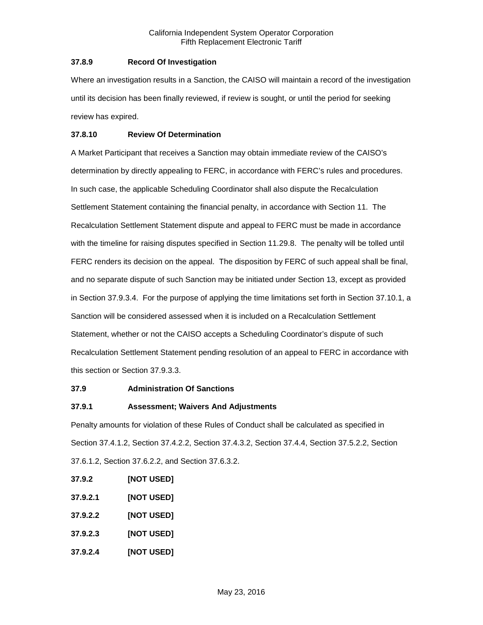### <span id="page-10-0"></span>**37.8.9 Record Of Investigation**

Where an investigation results in a Sanction, the CAISO will maintain a record of the investigation until its decision has been finally reviewed, if review is sought, or until the period for seeking review has expired.

## <span id="page-10-1"></span>**37.8.10 Review Of Determination**

A Market Participant that receives a Sanction may obtain immediate review of the CAISO's determination by directly appealing to FERC, in accordance with FERC's rules and procedures. In such case, the applicable Scheduling Coordinator shall also dispute the Recalculation Settlement Statement containing the financial penalty, in accordance with Section 11. The Recalculation Settlement Statement dispute and appeal to FERC must be made in accordance with the timeline for raising disputes specified in Section 11.29.8. The penalty will be tolled until FERC renders its decision on the appeal. The disposition by FERC of such appeal shall be final, and no separate dispute of such Sanction may be initiated under Section 13, except as provided in Section 37.9.3.4. For the purpose of applying the time limitations set forth in Section 37.10.1, a Sanction will be considered assessed when it is included on a Recalculation Settlement Statement, whether or not the CAISO accepts a Scheduling Coordinator's dispute of such Recalculation Settlement Statement pending resolution of an appeal to FERC in accordance with this section or Section 37.9.3.3.

## <span id="page-10-2"></span>**37.9 Administration Of Sanctions**

## <span id="page-10-3"></span>**37.9.1 Assessment; Waivers And Adjustments**

Penalty amounts for violation of these Rules of Conduct shall be calculated as specified in Section 37.4.1.2, Section 37.4.2.2, Section 37.4.3.2, Section 37.4.4, Section 37.5.2.2, Section 37.6.1.2, Section 37.6.2.2, and Section 37.6.3.2.

- <span id="page-10-4"></span>**37.9.2 [NOT USED]**
- **37.9.2.1 [NOT USED]**
- **37.9.2.2 [NOT USED]**
- **37.9.2.3 [NOT USED]**
- **37.9.2.4 [NOT USED]**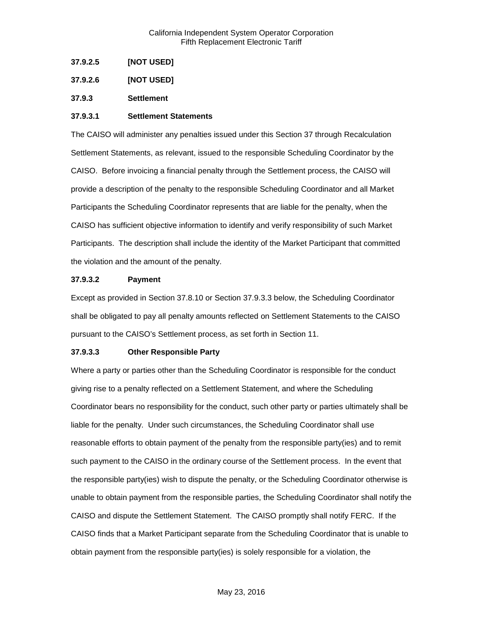**37.9.2.5 [NOT USED]**

**37.9.2.6 [NOT USED]**

<span id="page-11-0"></span>**37.9.3 Settlement**

#### **37.9.3.1 Settlement Statements**

The CAISO will administer any penalties issued under this Section 37 through Recalculation Settlement Statements, as relevant, issued to the responsible Scheduling Coordinator by the CAISO. Before invoicing a financial penalty through the Settlement process, the CAISO will provide a description of the penalty to the responsible Scheduling Coordinator and all Market Participants the Scheduling Coordinator represents that are liable for the penalty, when the CAISO has sufficient objective information to identify and verify responsibility of such Market Participants. The description shall include the identity of the Market Participant that committed the violation and the amount of the penalty.

#### **37.9.3.2 Payment**

Except as provided in Section 37.8.10 or Section 37.9.3.3 below, the Scheduling Coordinator shall be obligated to pay all penalty amounts reflected on Settlement Statements to the CAISO pursuant to the CAISO's Settlement process, as set forth in Section 11.

#### **37.9.3.3 Other Responsible Party**

Where a party or parties other than the Scheduling Coordinator is responsible for the conduct giving rise to a penalty reflected on a Settlement Statement, and where the Scheduling Coordinator bears no responsibility for the conduct, such other party or parties ultimately shall be liable for the penalty. Under such circumstances, the Scheduling Coordinator shall use reasonable efforts to obtain payment of the penalty from the responsible party(ies) and to remit such payment to the CAISO in the ordinary course of the Settlement process. In the event that the responsible party(ies) wish to dispute the penalty, or the Scheduling Coordinator otherwise is unable to obtain payment from the responsible parties, the Scheduling Coordinator shall notify the CAISO and dispute the Settlement Statement. The CAISO promptly shall notify FERC. If the CAISO finds that a Market Participant separate from the Scheduling Coordinator that is unable to obtain payment from the responsible party(ies) is solely responsible for a violation, the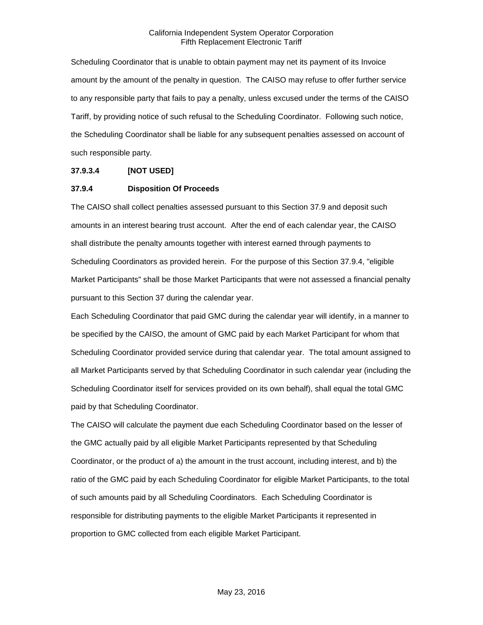Scheduling Coordinator that is unable to obtain payment may net its payment of its Invoice amount by the amount of the penalty in question. The CAISO may refuse to offer further service to any responsible party that fails to pay a penalty, unless excused under the terms of the CAISO Tariff, by providing notice of such refusal to the Scheduling Coordinator. Following such notice, the Scheduling Coordinator shall be liable for any subsequent penalties assessed on account of such responsible party.

#### **37.9.3.4 [NOT USED]**

#### <span id="page-12-0"></span>**37.9.4 Disposition Of Proceeds**

The CAISO shall collect penalties assessed pursuant to this Section 37.9 and deposit such amounts in an interest bearing trust account. After the end of each calendar year, the CAISO shall distribute the penalty amounts together with interest earned through payments to Scheduling Coordinators as provided herein. For the purpose of this Section 37.9.4, "eligible Market Participants" shall be those Market Participants that were not assessed a financial penalty pursuant to this Section 37 during the calendar year.

Each Scheduling Coordinator that paid GMC during the calendar year will identify, in a manner to be specified by the CAISO, the amount of GMC paid by each Market Participant for whom that Scheduling Coordinator provided service during that calendar year. The total amount assigned to all Market Participants served by that Scheduling Coordinator in such calendar year (including the Scheduling Coordinator itself for services provided on its own behalf), shall equal the total GMC paid by that Scheduling Coordinator.

The CAISO will calculate the payment due each Scheduling Coordinator based on the lesser of the GMC actually paid by all eligible Market Participants represented by that Scheduling Coordinator, or the product of a) the amount in the trust account, including interest, and b) the ratio of the GMC paid by each Scheduling Coordinator for eligible Market Participants, to the total of such amounts paid by all Scheduling Coordinators. Each Scheduling Coordinator is responsible for distributing payments to the eligible Market Participants it represented in proportion to GMC collected from each eligible Market Participant.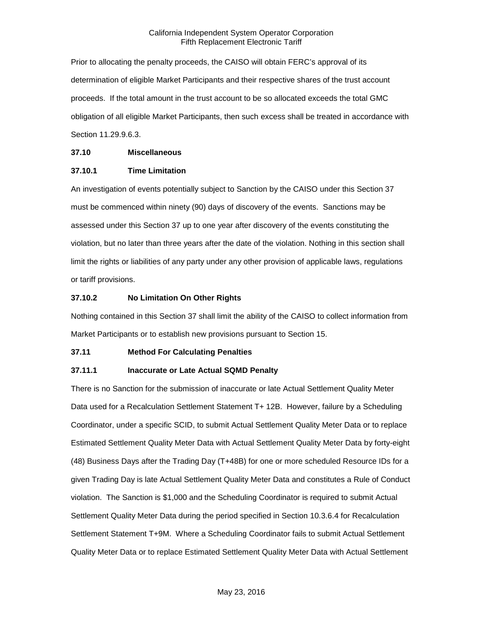Prior to allocating the penalty proceeds, the CAISO will obtain FERC's approval of its determination of eligible Market Participants and their respective shares of the trust account proceeds. If the total amount in the trust account to be so allocated exceeds the total GMC obligation of all eligible Market Participants, then such excess shall be treated in accordance with Section 11.29.9.6.3.

#### <span id="page-13-0"></span>**37.10 Miscellaneous**

#### <span id="page-13-1"></span>**37.10.1 Time Limitation**

An investigation of events potentially subject to Sanction by the CAISO under this Section 37 must be commenced within ninety (90) days of discovery of the events. Sanctions may be assessed under this Section 37 up to one year after discovery of the events constituting the violation, but no later than three years after the date of the violation. Nothing in this section shall limit the rights or liabilities of any party under any other provision of applicable laws, regulations or tariff provisions.

## <span id="page-13-2"></span>**37.10.2 No Limitation On Other Rights**

Nothing contained in this Section 37 shall limit the ability of the CAISO to collect information from Market Participants or to establish new provisions pursuant to Section 15.

## <span id="page-13-3"></span>**37.11 Method For Calculating Penalties**

#### <span id="page-13-4"></span>**37.11.1 Inaccurate or Late Actual SQMD Penalty**

There is no Sanction for the submission of inaccurate or late Actual Settlement Quality Meter Data used for a Recalculation Settlement Statement T+ 12B. However, failure by a Scheduling Coordinator, under a specific SCID, to submit Actual Settlement Quality Meter Data or to replace Estimated Settlement Quality Meter Data with Actual Settlement Quality Meter Data by forty-eight (48) Business Days after the Trading Day (T+48B) for one or more scheduled Resource IDs for a given Trading Day is late Actual Settlement Quality Meter Data and constitutes a Rule of Conduct violation. The Sanction is \$1,000 and the Scheduling Coordinator is required to submit Actual Settlement Quality Meter Data during the period specified in Section 10.3.6.4 for Recalculation Settlement Statement T+9M. Where a Scheduling Coordinator fails to submit Actual Settlement Quality Meter Data or to replace Estimated Settlement Quality Meter Data with Actual Settlement